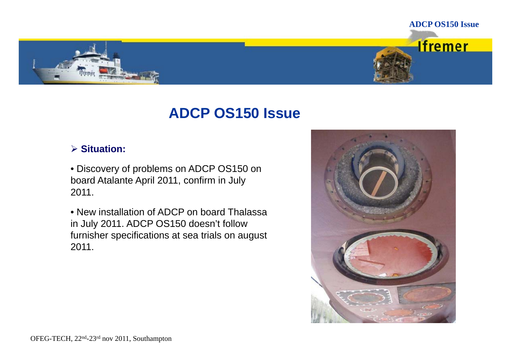

# **ADCP OS150 Issue**

# **Situation:**

• Discovery of problems on ADCP OS150 on board Atalante April 2011, confirm in July 2011.

• New installation of ADCP on board Thalassa in July 2011. ADCP OS150 doesn't follow furnisher specifications at sea trials on august 2011.

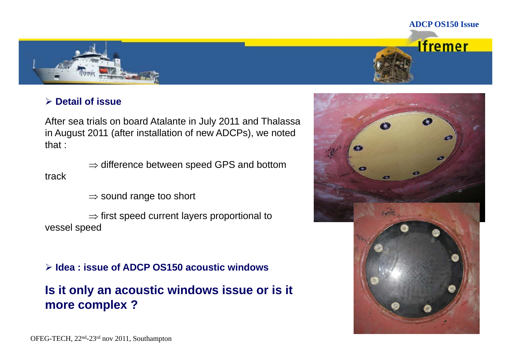



## **D t il f i Detail of issue**

After sea trials on board Atalante in July 2011 and Thalassa in August 2011 (after installation of new ADCPs), we noted that :

 $\Rightarrow$  difference between speed GPS and bottom track

 $\Rightarrow$  sound range too short

 $\Rightarrow$  first speed current layers proportional to vessel speed

**Idea : issue of ADCP OS150 acoustic windows**

**Is it only an acoustic windows issue or is it more complex ? more**

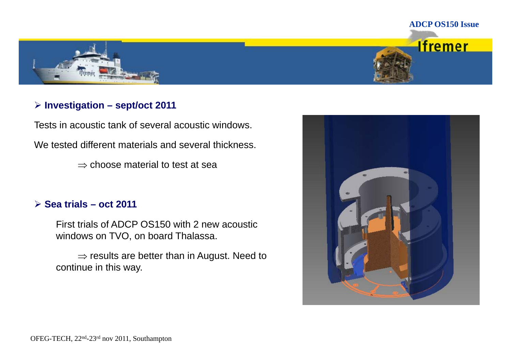

# **Investigation – sept/oct 2011**

Tests in acoustic tank of several acoustic windows. We tested different materials and several thickness.

 $\Rightarrow$  choose material to test at sea

## **Sea trials – oct 2011**

First trials of ADCP OS150 with 2 new acoustic windows on TVO, on board Thalassa.

 $\Rightarrow$  results are better than in August. Need to continue in this way.